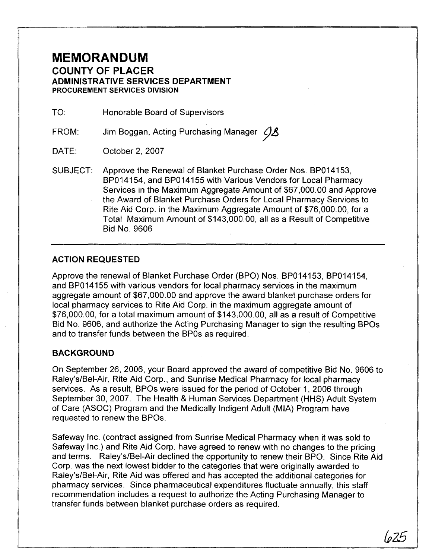## **MEMORANDUM COUNTY OF PLACER ADMINISTRATIVE SERVICES DEPARTMENT PROCUREMENT SERVICES DIVISION**

TO: Honorable Board of Supervisors

FROM: Jim Boggan, Acting Purchasing Manager *9A* 

DATE: October 2, 2007

SUBJECT: Approve the Renewal of Blanket Purchase Order Nos. BP014153, BP014154, and BP014155 with Various Vendors for Local Pharmacy Services in the Maximum Aggregate Amount of \$67,000.00 and Approve the Award of Blanket Purchase Orders for Local Pharmacy Services to Rite Aid Corp. in the Maximum Aggregate Amount of \$76,000.00, for a Total Maximum Amount of \$143,000.00, all as a Result of Competitive Bid No. 9606

### **ACTION REQUESTED**

Approve the renewal of Blanket Purchase Order (BPO) Nos. BP014153, BP014154, and BP014155 with various vendors for local pharmacy services in the maximum aggregate amount of \$67,000.00 and approve the award blanket purchase orders for local pharmacy services to Rite Aid Corp. in the maximum aggregate amount of \$76,000.00, for a total maximum amount of \$143,000.00, all as a result of Competitive Bid No. 9606, and authorize the Acting Purchasing Manager to sign the resulting BPOs and to transfer funds between the BPOs as required.

### **BACKGROUND**

On September 26, 2006, your Board approved the award of competitive Bid No. 9606 to Raley's/Bel-Air, Rite Aid Corp., and Sunrise Medical Pharmacy for local pharmacy services. As a result, BPOs were issued for the period of October 1, 2006 through September 30, 2007. The Health & Human Services Department (HHS) Adult System of Care (ASOC) Program and the Medically Indigent Adult (MIA) Program have requested to renew the BPOs.

Safeway inc. (contract assigned from Sunrise Medical Pharmacy when it was sold to Safeway Inc.) and Rite Aid Corp. have agreed to renew with no changes to the pricing and terms. Raley's/Bel-Air declined the opportunity to renew their BPO. Since Rite Aid Corp. was the next lowest bidder to the categories that were originally awarded to Raley's/Bel-Air, Rite Aid was offered and has accepted the additional categories for pharmacy services. Since pharmaceutical expenditures fluctuate annually, this staff recommendation includes a request to authorize the Acting Purchasing Manager to transfer funds between blanket purchase orders as required.

bz5- -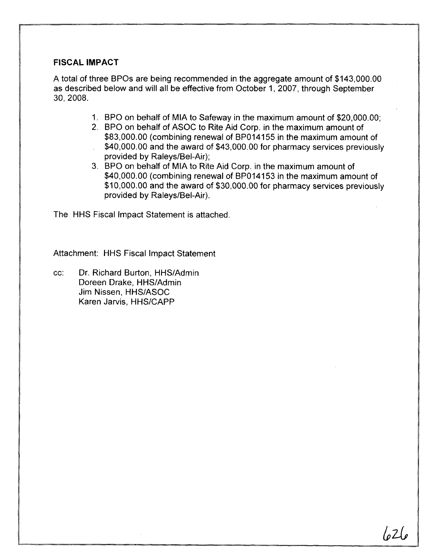#### **FISCAL IMPACT**

A total of three BPOs are being recommended in the aggregate amount of \$143,000.00 as described below and will all be effective from October 1, 2007, through September 30, 2008.

- 1. BPO on behalf of MIA to Safeway in the maximum amount of \$20,000.00;
- 2. BPO on behalf of ASOC to Rite Aid Corp. in the maximum amount of \$83,000.00 (combining renewal of BP014155 in the maximum amount of
- \$40,000.00 and the award of \$43,000.00 for pharmacy services previously provided by Raleys/Bel-Air);
- 3. BPO on behalf of MIA to Rite Aid Corp. in the maximum amount of \$40,000.00 (combining renewal of BP014153 in the maximum amount of \$10,000.00 and the award of \$30,000.00 for pharmacy services previously provided by Raleys/Bel-Air).

The HHS Fiscal lmpact Statement is attached.

Attachment: HHS Fiscal lmpact Statement

cc: Dr. Richard Burton, HHSIAdmin Doreen Drake, HHS/Admin Jim Nissen, HHSIASOC Karen Jarvis, HHS/CAPP

lo 21 e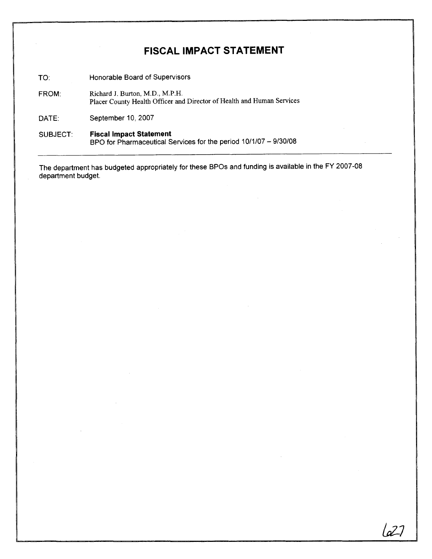# **FISCAL IMPACT STATEMENT**

TO: Honorable Board of Supervisors

FROM: Richard J. Burton, M.D., M.P.H. Placer County Health Officer and Director of Health and Human Services

DATE: September 10, 2007

SUBJECT: **Fiscal Impact Statement**<br>BPO for Pharmaceutical Services for the period 10/1/07 – 9/30/08

The department has budgeted appropriately for these BPOs and funding is available in the FY 2007-08 department budget.

627